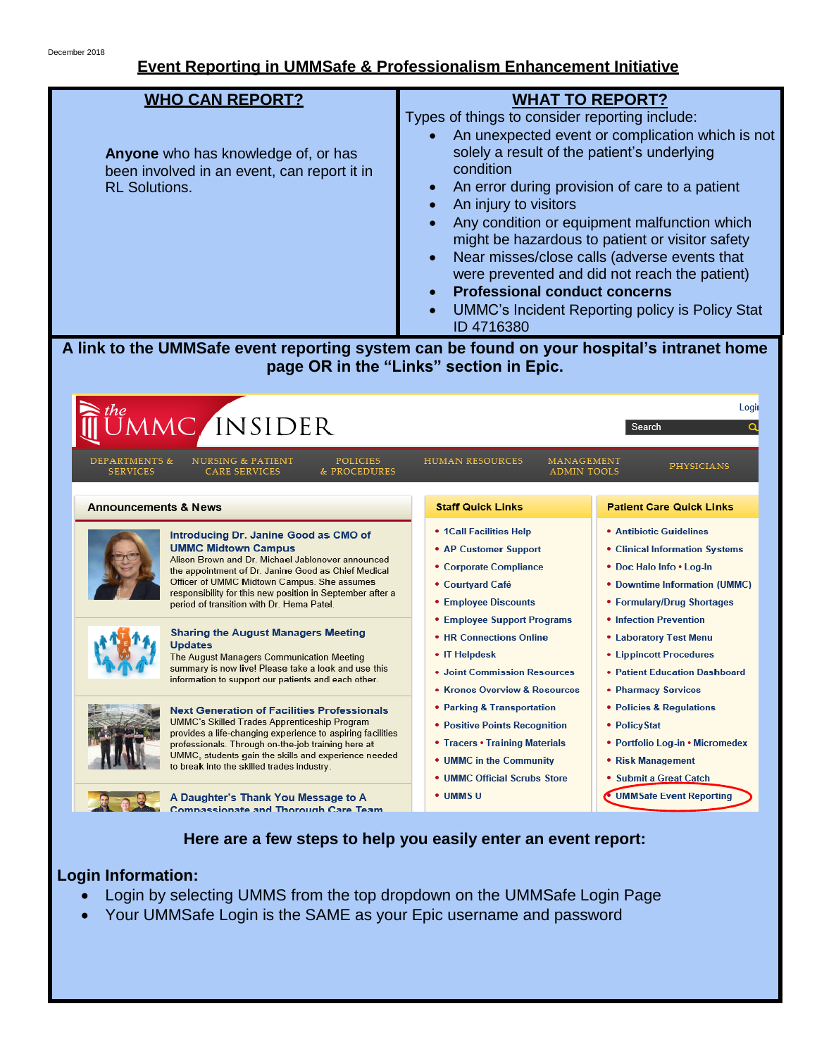## **Event Reporting in UMMSafe & Professionalism Enhancement Initiative**

| <b>WHO CAN REPORT?</b><br>Anyone who has knowledge of, or has<br>been involved in an event, can report it in<br><b>RL Solutions.</b>                                                                                                                                                                                                     | <b>WHAT TO REPORT?</b><br>Types of things to consider reporting include:<br>An unexpected event or complication which is not<br>solely a result of the patient's underlying<br>condition<br>An error during provision of care to a patient<br>An injury to visitors<br>Any condition or equipment malfunction which<br>might be hazardous to patient or visitor safety<br>Near misses/close calls (adverse events that<br>were prevented and did not reach the patient)<br><b>Professional conduct concerns</b><br><b>UMMC's Incident Reporting policy is Policy Stat</b><br>ID 4716380 |                                                                                                                                                                                       |
|------------------------------------------------------------------------------------------------------------------------------------------------------------------------------------------------------------------------------------------------------------------------------------------------------------------------------------------|-----------------------------------------------------------------------------------------------------------------------------------------------------------------------------------------------------------------------------------------------------------------------------------------------------------------------------------------------------------------------------------------------------------------------------------------------------------------------------------------------------------------------------------------------------------------------------------------|---------------------------------------------------------------------------------------------------------------------------------------------------------------------------------------|
| A link to the UMMSafe event reporting system can be found on your hospital's intranet home<br>page OR in the "Links" section in Epic.                                                                                                                                                                                                    |                                                                                                                                                                                                                                                                                                                                                                                                                                                                                                                                                                                         |                                                                                                                                                                                       |
| MC INSIDER<br><b>NURSING &amp; PATIENT</b><br><b>DEPARTMENTS &amp;</b><br><b>POLICIES</b><br>& PROCEDURES<br><b>SERVICES</b><br>CARE SERVICES                                                                                                                                                                                            | <b>HUMAN RESOURCES</b><br>MANAGEMENT<br><b>ADMIN TOOLS</b>                                                                                                                                                                                                                                                                                                                                                                                                                                                                                                                              | Logii<br>Search<br>PHYSICIANS                                                                                                                                                         |
| <b>Announcements &amp; News</b>                                                                                                                                                                                                                                                                                                          | <b>Staff Quick Links</b>                                                                                                                                                                                                                                                                                                                                                                                                                                                                                                                                                                | <b>Patient Care Quick Links</b>                                                                                                                                                       |
| Introducing Dr. Janine Good as CMO of<br><b>UMMC Midtown Campus</b><br>Alison Brown and Dr. Michael Jablonover announced<br>the appointment of Dr. Janine Good as Chief Medical<br>Officer of UMMC Midtown Campus. She assumes<br>responsibility for this new position in September after a<br>period of transition with Dr. Hema Patel. | • 1Call Facilities Help<br>• AP Customer Support<br>• Corporate Compliance<br>• Courtyard Café<br><b>• Employee Discounts</b><br>• Employee Support Programs                                                                                                                                                                                                                                                                                                                                                                                                                            | <b>• Antibiotic Guidelines</b><br>• Clinical Information Systems<br>• Doc Halo Info • Log-In<br>• Downtime Information (UMMC)<br>• Formulary/Drug Shortages<br>• Infection Prevention |
| <b>Sharing the August Managers Meeting</b><br>Updates<br>The August Managers Communication Meeting<br>summary is now live! Please take a look and use this<br>information to support our patients and each other.                                                                                                                        | • HR Connections Online<br>• IT Helpdesk<br>• Joint Commission Resources<br>• Kronos Overview & Resources                                                                                                                                                                                                                                                                                                                                                                                                                                                                               | • Laboratory Test Menu<br>• Lippincott Procedures<br>• Patient Education Dashboard<br>• Pharmacy Services                                                                             |
| <b>Next Generation of Facilities Professionals</b><br>UMMC's Skilled Trades Apprenticeship Program<br>provides a life-changing experience to aspiring facilities<br>professionals. Through on-the-job training here at<br>UMMC, students gain the skills and experience needed<br>to break into the skilled trades industry.             | • Parking & Transportation<br>• Positive Points Recognition<br>• Tracers • Training Materials<br>• UMMC in the Community<br><b>UMMC Official Scrubs Store</b>                                                                                                                                                                                                                                                                                                                                                                                                                           | • Policies & Regulations<br>• PolicyStat<br>• Portfolio Log-in • Micromedex<br>• Risk Management<br>• Submit a Great Catch                                                            |
| A Daughter's Thank You Message to A<br><b>Compassionate and Thorough Care Team</b>                                                                                                                                                                                                                                                       | • UMMSU                                                                                                                                                                                                                                                                                                                                                                                                                                                                                                                                                                                 | <b>UMMSafe Event Reporting</b>                                                                                                                                                        |

## **Here are a few steps to help you easily enter an event report:**

## **Login Information:**

- Login by selecting UMMS from the top dropdown on the UMMSafe Login Page
- Your UMMSafe Login is the SAME as your Epic username and password